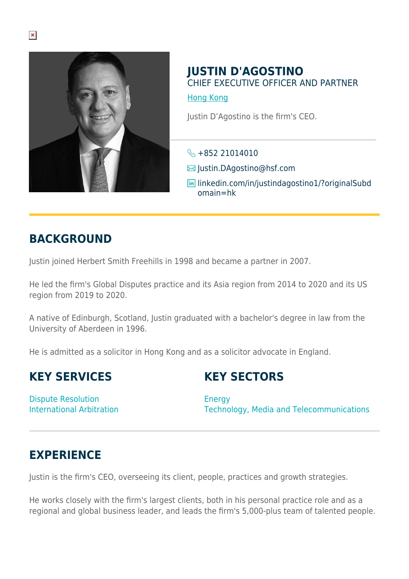

#### **JUSTIN D'AGOSTINO** CHIEF EXECUTIVE OFFICER AND PARTNER

[Hong Kong](https://www.herbertsmithfreehills.com/lang-ko/where-we-work/hong-kong)

Justin D'Agostino is the firm's CEO.

 $\frac{1}{2}$  +852 21014010

- Justin.DAgostino@hsf.com
- **in** linkedin.com/in/justindagostino1/?originalSubd omain=hk

## **BACKGROUND**

Justin joined Herbert Smith Freehills in 1998 and became a partner in 2007.

He led the firm's Global Disputes practice and its Asia region from 2014 to 2020 and its US region from 2019 to 2020.

A native of Edinburgh, Scotland, Justin graduated with a bachelor's degree in law from the University of Aberdeen in 1996.

He is admitted as a solicitor in Hong Kong and as a solicitor advocate in England.

### **KEY SERVICES**

### **KEY SECTORS**

Dispute Resolution International Arbitration

**Energy** Technology, Media and Telecommunications

# **EXPERIENCE**

Justin is the firm's CEO, overseeing its client, people, practices and growth strategies.

He works closely with the firm's largest clients, both in his personal practice role and as a regional and global business leader, and leads the firm's 5,000-plus team of talented people.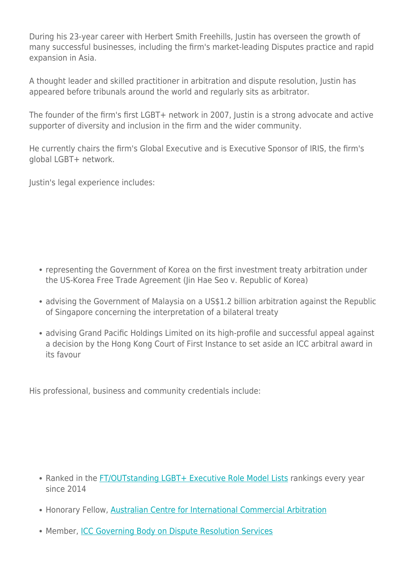During his 23-year career with Herbert Smith Freehills, Justin has overseen the growth of many successful businesses, including the firm's market-leading Disputes practice and rapid expansion in Asia.

A thought leader and skilled practitioner in arbitration and dispute resolution, Justin has appeared before tribunals around the world and regularly sits as arbitrator.

The founder of the firm's first LGBT+ network in 2007, Justin is a strong advocate and active supporter of diversity and inclusion in the firm and the wider community.

He currently chairs the firm's Global Executive and is Executive Sponsor of IRIS, the firm's global LGBT+ network.

Justin's legal experience includes:

- representing the Government of Korea on the first investment treaty arbitration under the US-Korea Free Trade Agreement (Jin Hae Seo v. Republic of Korea)
- advising the Government of Malaysia on a US\$1.2 billion arbitration against the Republic of Singapore concerning the interpretation of a bilateral treaty
- advising Grand Pacific Holdings Limited on its high-profile and successful appeal against a decision by the Hong Kong Court of First Instance to set aside an ICC arbitral award in its favour

His professional, business and community credentials include:

- Ranked in the [FT/OUTstanding LGBT+ Executive Role Model Lists](https://outstanding.involvepeople.org/) rankings every year since 2014
- Honorary Fellow, [Australian Centre for International Commercial Arbitration](https://acica.org.au/)
- Member, [ICC Governing Body on Dispute Resolution Services](http://iccwbo.org/about-us/governance/executive-board/)